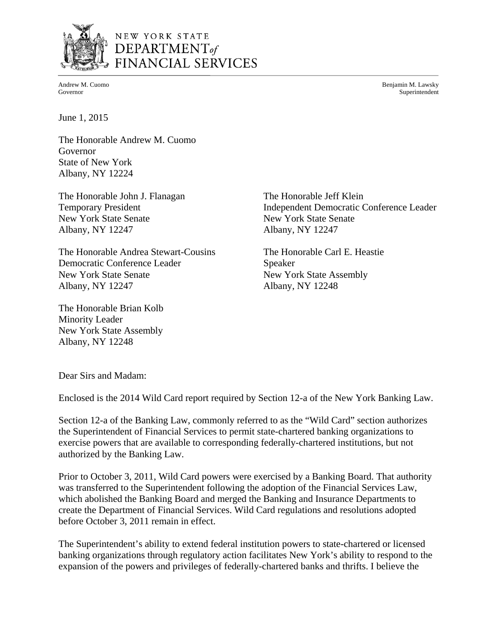

# NEW YORK STATE DEPARTMENT<sub>of</sub> FINANCIAL SERVICES

Andrew M. Cuomo Benjamin M. Lawsky Governor Superintendent

June 1, 2015

The Honorable Andrew M. Cuomo Governor State of New York Albany, NY 12224

The Honorable John J. Flanagan The Honorable Jeff Klein New York State Senate New York State Senate Albany, NY 12247 Albany, NY 12247

The Honorable Andrea Stewart-Cousins The Honorable Carl E. Heastie Democratic Conference Leader Speaker New York State Senate New York State Assembly Albany, NY 12247 Albany, NY 12248

The Honorable Brian Kolb Minority Leader New York State Assembly Albany, NY 12248

Temporary President **Independent Democratic Conference Leader** 

Dear Sirs and Madam:

Enclosed is the 2014 Wild Card report required by Section 12-a of the New York Banking Law.

Section 12-a of the Banking Law, commonly referred to as the "Wild Card" section authorizes the Superintendent of Financial Services to permit state-chartered banking organizations to exercise powers that are available to corresponding federally-chartered institutions, but not authorized by the Banking Law.

Prior to October 3, 2011, Wild Card powers were exercised by a Banking Board. That authority was transferred to the Superintendent following the adoption of the Financial Services Law, which abolished the Banking Board and merged the Banking and Insurance Departments to create the Department of Financial Services. Wild Card regulations and resolutions adopted before October 3, 2011 remain in effect.

The Superintendent's ability to extend federal institution powers to state-chartered or licensed banking organizations through regulatory action facilitates New York's ability to respond to the expansion of the powers and privileges of federally-chartered banks and thrifts. I believe the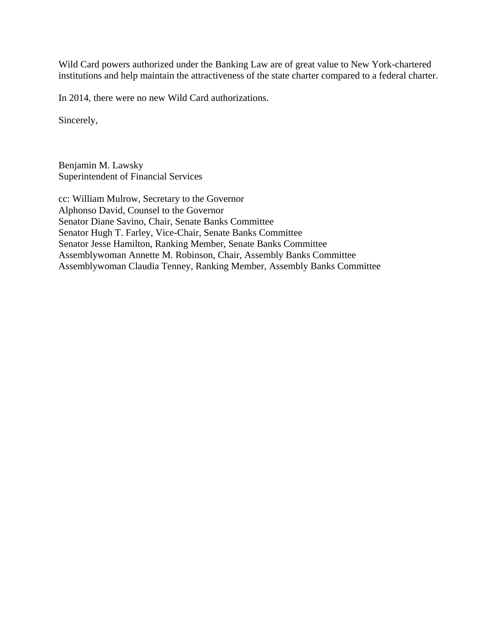Wild Card powers authorized under the Banking Law are of great value to New York-chartered institutions and help maintain the attractiveness of the state charter compared to a federal charter.

In 2014, there were no new Wild Card authorizations.

Sincerely,

Benjamin M. Lawsky Superintendent of Financial Services

cc: William Mulrow, Secretary to the Governor Alphonso David, Counsel to the Governor Senator Diane Savino, Chair, Senate Banks Committee Senator Hugh T. Farley, Vice-Chair, Senate Banks Committee Senator Jesse Hamilton, Ranking Member, Senate Banks Committee Assemblywoman Annette M. Robinson, Chair, Assembly Banks Committee Assemblywoman Claudia Tenney, Ranking Member, Assembly Banks Committee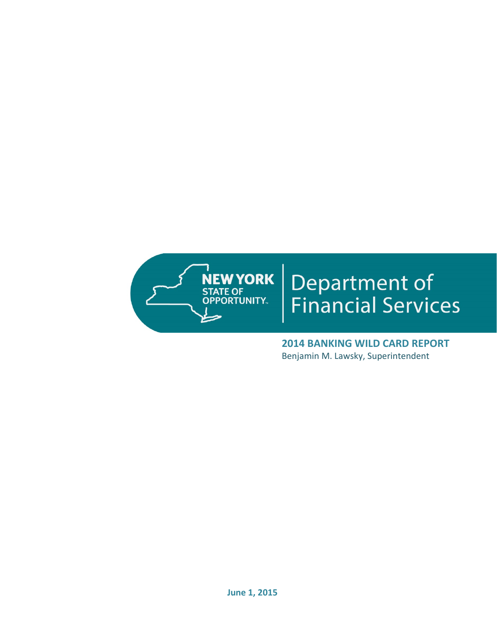

# Department of<br>Financial Services

 **2014 BANKING WILD CARD REPORT** Benjamin M. Lawsky, Superintendent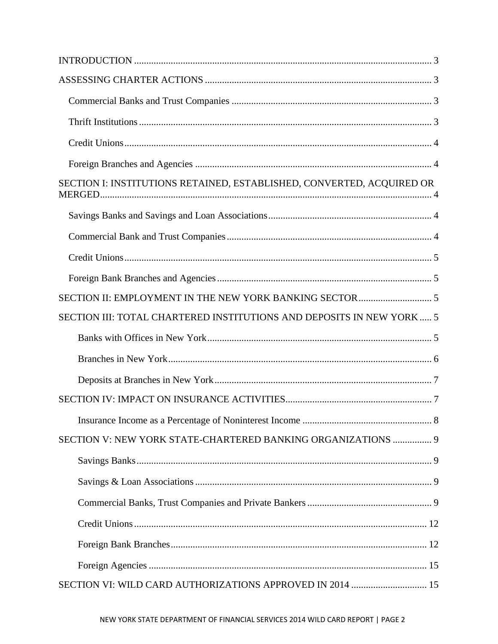| SECTION I: INSTITUTIONS RETAINED, ESTABLISHED, CONVERTED, ACQUIRED OR |  |
|-----------------------------------------------------------------------|--|
|                                                                       |  |
|                                                                       |  |
|                                                                       |  |
|                                                                       |  |
|                                                                       |  |
| SECTION III: TOTAL CHARTERED INSTITUTIONS AND DEPOSITS IN NEW YORK 5  |  |
|                                                                       |  |
|                                                                       |  |
|                                                                       |  |
|                                                                       |  |
|                                                                       |  |
|                                                                       |  |
| SECTION V: NEW YORK STATE-CHARTERED BANKING ORGANIZATIONS  9          |  |
|                                                                       |  |
|                                                                       |  |
|                                                                       |  |
|                                                                       |  |
|                                                                       |  |
|                                                                       |  |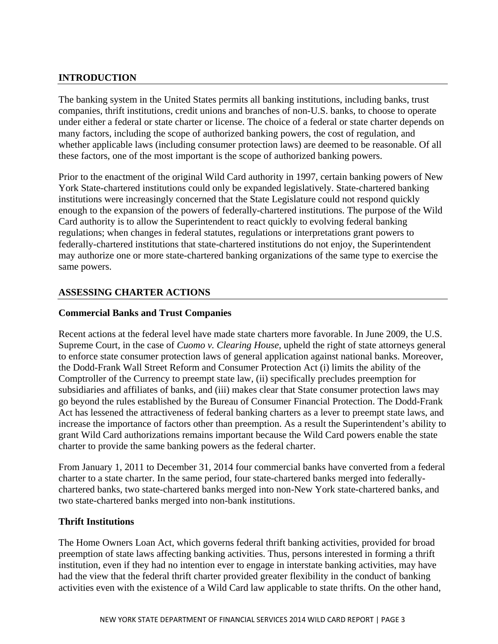# **INTRODUCTION**

The banking system in the United States permits all banking institutions, including banks, trust companies, thrift institutions, credit unions and branches of non-U.S. banks, to choose to operate under either a federal or state charter or license. The choice of a federal or state charter depends on many factors, including the scope of authorized banking powers, the cost of regulation, and whether applicable laws (including consumer protection laws) are deemed to be reasonable. Of all these factors, one of the most important is the scope of authorized banking powers.

Prior to the enactment of the original Wild Card authority in 1997, certain banking powers of New York State-chartered institutions could only be expanded legislatively. State-chartered banking institutions were increasingly concerned that the State Legislature could not respond quickly enough to the expansion of the powers of federally-chartered institutions. The purpose of the Wild Card authority is to allow the Superintendent to react quickly to evolving federal banking regulations; when changes in federal statutes, regulations or interpretations grant powers to federally-chartered institutions that state-chartered institutions do not enjoy, the Superintendent may authorize one or more state-chartered banking organizations of the same type to exercise the same powers.

# **ASSESSING CHARTER ACTIONS**

### **Commercial Banks and Trust Companies**

Recent actions at the federal level have made state charters more favorable. In June 2009, the U.S. Supreme Court, in the case of *Cuomo v. Clearing House*, upheld the right of state attorneys general to enforce state consumer protection laws of general application against national banks. Moreover, the Dodd-Frank Wall Street Reform and Consumer Protection Act (i) limits the ability of the Comptroller of the Currency to preempt state law, (ii) specifically precludes preemption for subsidiaries and affiliates of banks, and (iii) makes clear that State consumer protection laws may go beyond the rules established by the Bureau of Consumer Financial Protection. The Dodd-Frank Act has lessened the attractiveness of federal banking charters as a lever to preempt state laws, and increase the importance of factors other than preemption. As a result the Superintendent's ability to grant Wild Card authorizations remains important because the Wild Card powers enable the state charter to provide the same banking powers as the federal charter.

From January 1, 2011 to December 31, 2014 four commercial banks have converted from a federal charter to a state charter. In the same period, four state-chartered banks merged into federallychartered banks, two state-chartered banks merged into non-New York state-chartered banks, and two state-chartered banks merged into non-bank institutions.

### **Thrift Institutions**

The Home Owners Loan Act, which governs federal thrift banking activities, provided for broad preemption of state laws affecting banking activities. Thus, persons interested in forming a thrift institution, even if they had no intention ever to engage in interstate banking activities, may have had the view that the federal thrift charter provided greater flexibility in the conduct of banking activities even with the existence of a Wild Card law applicable to state thrifts. On the other hand,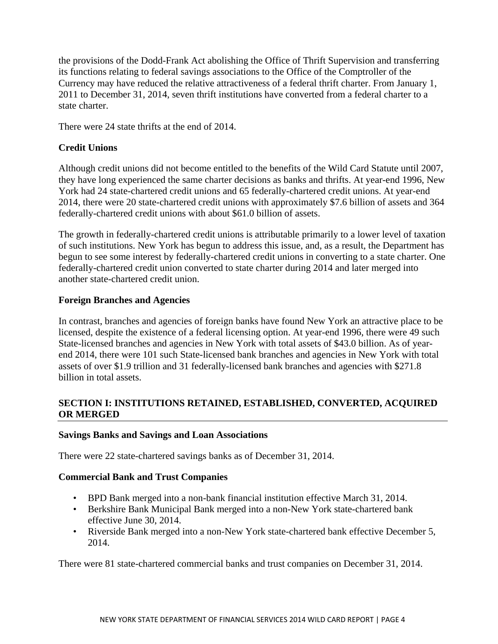<span id="page-5-0"></span>state charter. the provisions of the Dodd-Frank Act abolishing the Office of Thrift Supervision and transferring its functions relating to federal savings associations to the Office of the Comptroller of the Currency may have reduced the relative attractiveness of a federal thrift charter. From January 1, 2011 to December 31, 2014, seven thrift institutions have converted from a federal charter to a

There were 24 state thrifts at the end of 2014.

# **Credit Unions**

Although credit unions did not become entitled to the benefits of the Wild Card Statute until 2007, they have long experienced the same charter decisions as banks and thrifts. At year-end 1996, New York had 24 state-chartered credit unions and 65 federally-chartered credit unions. At year-end 2014, there were 20 state-chartered credit unions with approximately \$7.6 billion of assets and 364 federally-chartered credit unions with about \$61.0 billion of assets.

The growth in federally-chartered credit unions is attributable primarily to a lower level of taxation of such institutions. New York has begun to address this issue, and, as a result, the Department has begun to see some interest by federally-chartered credit unions in converting to a state charter. One federally-chartered credit union converted to state charter during 2014 and later merged into another state-chartered credit union.

# **Foreign Branches and Agencies**

In contrast, branches and agencies of foreign banks have found New York an attractive place to be licensed, despite the existence of a federal licensing option. At year-end 1996, there were 49 such State-licensed branches and agencies in New York with total assets of \$43.0 billion. As of yearend 2014, there were 101 such State-licensed bank branches and agencies in New York with total assets of over \$1.9 trillion and 31 federally-licensed bank branches and agencies with \$271.8 billion in total assets.

# **SECTION I: INSTITUTIONS RETAINED, ESTABLISHED, CONVERTED, ACQUIRED OR MERGED**

### **Savings Banks and Savings and Loan Associations**

There were 22 state-chartered savings banks as of December 31, 2014.

### **Commercial Bank and Trust Companies**

- BPD Bank merged into a non-bank financial institution effective March 31, 2014.
- Berkshire Bank Municipal Bank merged into a non-New York state-chartered bank effective June 30, 2014.
- Riverside Bank merged into a non-New York state-chartered bank effective December 5, 2014.

There were 81 state-chartered commercial banks and trust companies on December 31, 2014.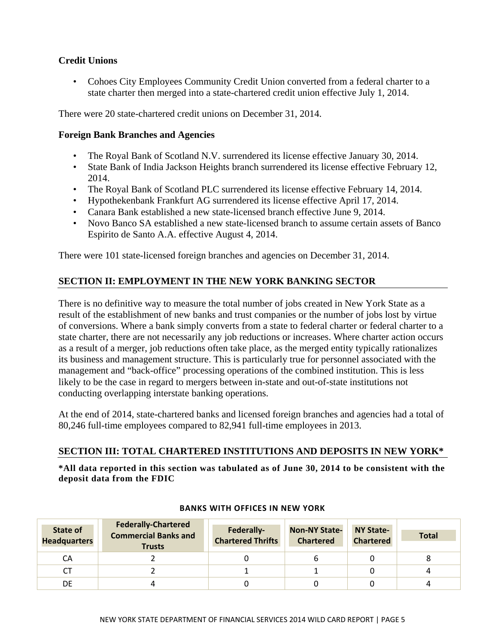# **Credit Unions**

• Cohoes City Employees Community Credit Union converted from a federal charter to a state charter then merged into a state-chartered credit union effective July 1, 2014.

There were 20 state-chartered credit unions on December 31, 2014.

## **Foreign Bank Branches and Agencies**

- The Royal Bank of Scotland N.V. surrendered its license effective January 30, 2014.
- State Bank of India Jackson Heights branch surrendered its license effective February 12, 2014.
- The Royal Bank of Scotland PLC surrendered its license effective February 14, 2014.
- • Hypothekenbank Frankfurt AG surrendered its license effective April 17, 2014.
- Canara Bank established a new state-licensed branch effective June 9, 2014.
- Novo Banco SA established a new state-licensed branch to assume certain assets of Banco Espirito de Santo A.A. effective August 4, 2014.

There were 101 state-licensed foreign branches and agencies on December 31, 2014.

# **SECTION II: EMPLOYMENT IN THE NEW YORK BANKING SECTOR**

There is no definitive way to measure the total number of jobs created in New York State as a result of the establishment of new banks and trust companies or the number of jobs lost by virtue of conversions. Where a bank simply converts from a state to federal charter or federal charter to a state charter, there are not necessarily any job reductions or increases. Where charter action occurs as a result of a merger, job reductions often take place, as the merged entity typically rationalizes its business and management structure. This is particularly true for personnel associated with the management and "back-office" processing operations of the combined institution. This is less likely to be the case in regard to mergers between in-state and out-of-state institutions not conducting overlapping interstate banking operations.

At the end of 2014, state-chartered banks and licensed foreign branches and agencies had a total of 80,246 full-time employees compared to 82,941 full-time employees in 2013.

### **SECTION III: TOTAL CHARTERED INSTITUTIONS AND DEPOSITS IN NEW YORK\***

\*All data reported in this section was tabulated as of June 30, 2014 to be consistent with the deposit data from the FDIC

| State of<br><b>Headquarters</b> | <b>Federally-Chartered</b><br><b>Commercial Banks and</b><br><b>Trusts</b> | Federally-<br><b>Chartered Thrifts</b> | <b>Non-NY State-</b><br><b>Chartered</b> | <b>NY State-</b><br><b>Chartered</b> | <b>Total</b> |
|---------------------------------|----------------------------------------------------------------------------|----------------------------------------|------------------------------------------|--------------------------------------|--------------|
| CA                              |                                                                            |                                        |                                          |                                      |              |
| СT                              |                                                                            |                                        |                                          |                                      |              |
| DE                              |                                                                            |                                        |                                          |                                      |              |

### **BANKS WITH OFFICES IN NEW YORK**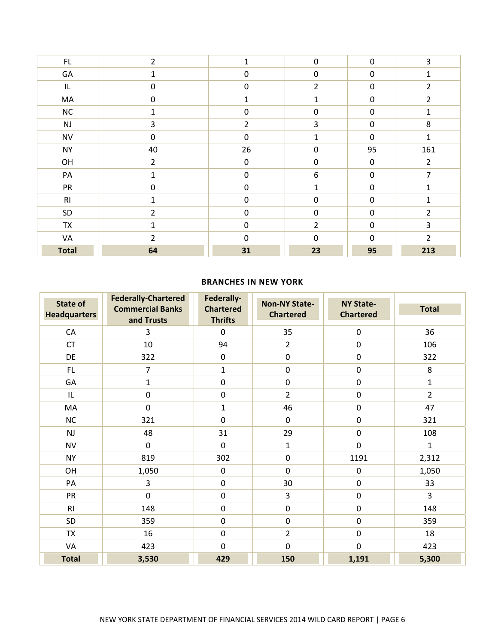| $\mathsf{FL}$ | $\overline{2}$ |                  | $\mathbf 0$      | $\mathbf 0$      | 3              |
|---------------|----------------|------------------|------------------|------------------|----------------|
| GA            | $\mathbf{1}$   | $\boldsymbol{0}$ | $\boldsymbol{0}$ | $\boldsymbol{0}$ | 1              |
| IL.           | $\pmb{0}$      | $\boldsymbol{0}$ | $\overline{2}$   | $\pmb{0}$        | $\overline{2}$ |
| MA            | $\mathbf 0$    | 1                | 1                | $\mathbf 0$      | $\overline{2}$ |
| ${\sf NC}$    | $\mathbf 1$    | $\boldsymbol{0}$ | 0                | $\boldsymbol{0}$ | $\mathbf{1}$   |
| NJ            | 3              | $\overline{2}$   | 3                | $\mathbf 0$      | 8              |
| <b>NV</b>     | $\mathbf 0$    | $\mathbf 0$      | 1                | 0                | $\mathbf{1}$   |
| <b>NY</b>     | 40             | 26               | 0                | 95               | 161            |
| OH            | $\overline{2}$ | $\mathbf 0$      | $\mathbf 0$      | $\mathbf 0$      | $\overline{2}$ |
| PA            | $\mathbf{1}$   | $\mathbf 0$      | 6                | 0                | $\overline{7}$ |
| ${\sf PR}$    | $\pmb{0}$      | $\pmb{0}$        | 1                | $\boldsymbol{0}$ | $\mathbf{1}$   |
| RI            | $\mathbf{1}$   | $\mathbf 0$      | $\mathbf 0$      | $\mathbf 0$      | 1              |
| SD            | $\overline{2}$ | $\mathbf 0$      | $\mathbf 0$      | $\mathbf 0$      | $\overline{2}$ |
| TX            | $\mathbf{1}$   | $\pmb{0}$        | $\overline{2}$   | $\boldsymbol{0}$ | 3              |
| VA            | $\overline{2}$ | $\mathbf 0$      | $\mathbf 0$      | $\mathbf 0$      | $\overline{2}$ |
| <b>Total</b>  | 64             | 31               | 23               | 95               | 213            |

### **BRANCHES IN NEW YORK**

| <b>State of</b><br><b>Headquarters</b> | <b>Federally-Chartered</b><br><b>Commercial Banks</b><br>and Trusts | Federally-<br><b>Chartered</b><br><b>Thrifts</b> | <b>Non-NY State-</b><br><b>Chartered</b> | <b>NY State-</b><br><b>Chartered</b> | <b>Total</b>   |
|----------------------------------------|---------------------------------------------------------------------|--------------------------------------------------|------------------------------------------|--------------------------------------|----------------|
| CA                                     | 3                                                                   | $\mathbf 0$                                      | 35                                       | $\pmb{0}$                            | 36             |
| <b>CT</b>                              | 10                                                                  | 94                                               | $\overline{2}$                           | $\pmb{0}$                            | 106            |
| DE                                     | 322                                                                 | $\pmb{0}$                                        | $\pmb{0}$                                | $\pmb{0}$                            | 322            |
| FL                                     | $\overline{7}$                                                      | $\mathbf{1}$                                     | $\boldsymbol{0}$                         | $\pmb{0}$                            | 8              |
| GA                                     | $\mathbf{1}$                                                        | $\pmb{0}$                                        | $\pmb{0}$                                | $\pmb{0}$                            | $\mathbf{1}$   |
| IL                                     | $\pmb{0}$                                                           | $\pmb{0}$                                        | $\overline{2}$                           | $\pmb{0}$                            | $\overline{2}$ |
| MA                                     | $\mathbf 0$                                                         | $\mathbf 1$                                      | 46                                       | $\pmb{0}$                            | 47             |
| <b>NC</b>                              | 321                                                                 | $\pmb{0}$                                        | $\mathbf 0$                              | $\pmb{0}$                            | 321            |
| <b>NJ</b>                              | 48                                                                  | 31                                               | 29                                       | $\pmb{0}$                            | 108            |
| <b>NV</b>                              | $\mathbf 0$                                                         | $\pmb{0}$                                        | $\mathbf{1}$                             | $\pmb{0}$                            | $\mathbf{1}$   |
| <b>NY</b>                              | 819                                                                 | 302                                              | $\mathbf 0$                              | 1191                                 | 2,312          |
| OH                                     | 1,050                                                               | $\pmb{0}$                                        | $\mathbf 0$                              | $\pmb{0}$                            | 1,050          |
| PA                                     | 3                                                                   | $\pmb{0}$                                        | 30                                       | $\boldsymbol{0}$                     | 33             |
| <b>PR</b>                              | $\mathbf 0$                                                         | $\pmb{0}$                                        | 3                                        | $\boldsymbol{0}$                     | 3              |
| R1                                     | 148                                                                 | $\pmb{0}$                                        | $\pmb{0}$                                | $\pmb{0}$                            | 148            |
| SD                                     | 359                                                                 | $\pmb{0}$                                        | $\pmb{0}$                                | $\pmb{0}$                            | 359            |
| <b>TX</b>                              | 16                                                                  | $\pmb{0}$                                        | $\overline{2}$                           | $\pmb{0}$                            | 18             |
| VA                                     | 423                                                                 | $\mathbf 0$                                      | $\mathbf 0$                              | $\pmb{0}$                            | 423            |
| <b>Total</b>                           | 3,530                                                               | 429                                              | 150                                      | 1,191                                | 5,300          |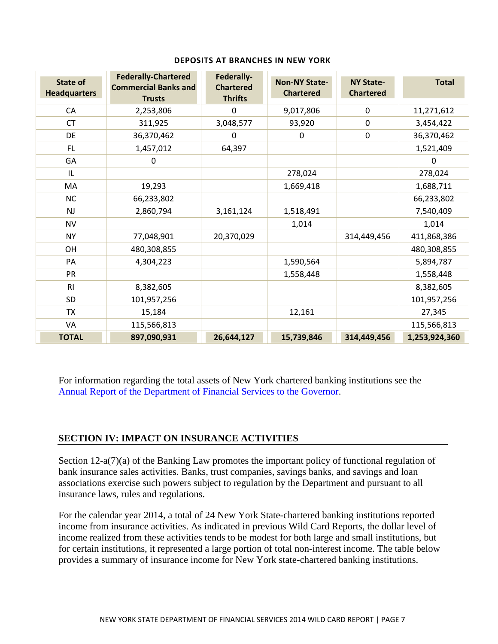| <b>State of</b><br><b>Headquarters</b> | <b>Federally-Chartered</b><br><b>Commercial Banks and</b><br><b>Trusts</b> | Federally-<br><b>Chartered</b><br><b>Thrifts</b> | <b>Non-NY State-</b><br><b>Chartered</b> | <b>NY State-</b><br><b>Chartered</b> | <b>Total</b>  |
|----------------------------------------|----------------------------------------------------------------------------|--------------------------------------------------|------------------------------------------|--------------------------------------|---------------|
| CA                                     | 2,253,806                                                                  | 0                                                | 9,017,806                                | $\mathbf 0$                          | 11,271,612    |
| <b>CT</b>                              | 311,925                                                                    | 3,048,577                                        | 93,920                                   | $\mathbf 0$                          | 3,454,422     |
| DE                                     | 36,370,462                                                                 | $\mathbf 0$                                      | 0                                        | $\mathbf 0$                          | 36,370,462    |
| FL.                                    | 1,457,012                                                                  | 64,397                                           |                                          |                                      | 1,521,409     |
| GA                                     | $\mathbf 0$                                                                |                                                  |                                          |                                      | 0             |
| IL                                     |                                                                            |                                                  | 278,024                                  |                                      | 278,024       |
| MA                                     | 19,293                                                                     |                                                  | 1,669,418                                |                                      | 1,688,711     |
| <b>NC</b>                              | 66,233,802                                                                 |                                                  |                                          |                                      | 66,233,802    |
| <b>NJ</b>                              | 2,860,794                                                                  | 3,161,124                                        | 1,518,491                                |                                      | 7,540,409     |
| <b>NV</b>                              |                                                                            |                                                  | 1,014                                    |                                      | 1,014         |
| <b>NY</b>                              | 77,048,901                                                                 | 20,370,029                                       |                                          | 314,449,456                          | 411,868,386   |
| OH                                     | 480,308,855                                                                |                                                  |                                          |                                      | 480,308,855   |
| PA                                     | 4,304,223                                                                  |                                                  | 1,590,564                                |                                      | 5,894,787     |
| <b>PR</b>                              |                                                                            |                                                  | 1,558,448                                |                                      | 1,558,448     |
| R <sub>l</sub>                         | 8,382,605                                                                  |                                                  |                                          |                                      | 8,382,605     |
| <b>SD</b>                              | 101,957,256                                                                |                                                  |                                          |                                      | 101,957,256   |
| <b>TX</b>                              | 15,184                                                                     |                                                  | 12,161                                   |                                      | 27,345        |
| VA                                     | 115,566,813                                                                |                                                  |                                          |                                      | 115,566,813   |
| <b>TOTAL</b>                           | 897,090,931                                                                | 26,644,127                                       | 15,739,846                               | 314,449,456                          | 1,253,924,360 |

### **DEPOSITS AT BRANCHES IN NEW YORK**

For information regarding the total assets of New York chartered banking institutions see the Annual Report of the Department of Financial Services to the Governor.

# **SECTION IV: IMPACT ON INSURANCE ACTIVITIES**

Section 12-a(7)(a) of the Banking Law promotes the important policy of functional regulation of bank insurance sales activities. Banks, trust companies, savings banks, and savings and loan associations exercise such powers subject to regulation by the Department and pursuant to all insurance laws, rules and regulations.

For the calendar year 2014, a total of 24 New York State-chartered banking institutions reported income from insurance activities. As indicated in previous Wild Card Reports, the dollar level of income realized from these activities tends to be modest for both large and small institutions, but for certain institutions, it represented a large portion of total non-interest income. The table below provides a summary of insurance income for New York state-chartered banking institutions.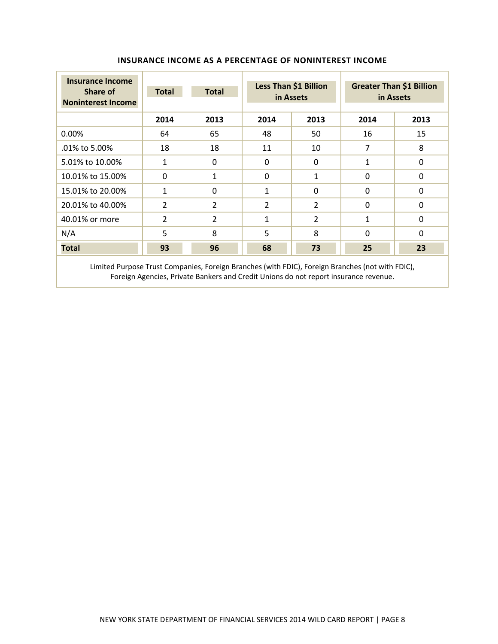| <b>Insurance Income</b><br>Share of<br><b>Noninterest Income</b> | <b>Total</b>   | <b>Total</b>   | Less Than \$1 Billion<br>in Assets |          |          | <b>Greater Than \$1 Billion</b><br>in Assets |
|------------------------------------------------------------------|----------------|----------------|------------------------------------|----------|----------|----------------------------------------------|
|                                                                  | 2014           | 2013           | 2014                               | 2013     |          | 2013                                         |
| 0.00%                                                            | 64             | 65             | 48                                 | 50       | 16       | 15                                           |
| .01% to 5.00%                                                    | 18             | 18             | 11                                 | 10       | 7        | 8                                            |
| 5.01% to 10.00%                                                  | 1              | 0              | 0                                  | $\Omega$ | 1        | 0                                            |
| 10.01% to 15.00%                                                 | $\Omega$       | 1              | $\Omega$                           | 1        | $\Omega$ | $\Omega$                                     |
| 15.01% to 20.00%                                                 | $\mathbf{1}$   | 0              | $\mathbf{1}$                       | $\Omega$ | $\Omega$ | $\Omega$                                     |
| 20.01% to 40.00%                                                 | 2              | $\overline{2}$ | 2                                  | 2        | $\Omega$ | $\Omega$                                     |
| 40.01% or more                                                   | $\overline{2}$ | $\overline{2}$ | 1                                  | 2        | 1        | $\Omega$                                     |
| N/A                                                              | 5              | 8              | 5                                  | 8        | $\Omega$ | $\Omega$                                     |
| <b>Total</b>                                                     | 93             | 96             | 68                                 | 73       | 25       | 23                                           |
| ______                                                           |                |                |                                    |          |          |                                              |

### **INSURANCE INCOME AS A PERCENTAGE OF NONINTEREST INCOME**

 Limited Purpose Trust Companies, Foreign Branches (with FDIC), Foreign Branches (not with FDIC), Foreign Agencies, Private Bankers and Credit Unions do not report insurance revenue.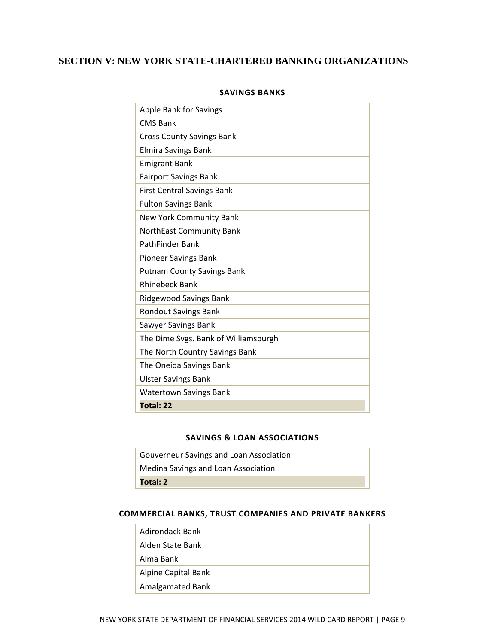# **SECTION V: NEW YORK STATE-CHARTERED BANKING ORGANIZATIONS**

| <b>Apple Bank for Savings</b>        |
|--------------------------------------|
| <b>CMS Bank</b>                      |
| <b>Cross County Savings Bank</b>     |
| <b>Elmira Savings Bank</b>           |
| <b>Emigrant Bank</b>                 |
| <b>Fairport Savings Bank</b>         |
| <b>First Central Savings Bank</b>    |
| <b>Fulton Savings Bank</b>           |
| New York Community Bank              |
| NorthEast Community Bank             |
| <b>PathFinder Bank</b>               |
| <b>Pioneer Savings Bank</b>          |
| <b>Putnam County Savings Bank</b>    |
| <b>Rhinebeck Bank</b>                |
| <b>Ridgewood Savings Bank</b>        |
| <b>Rondout Savings Bank</b>          |
| Sawyer Savings Bank                  |
| The Dime Svgs. Bank of Williamsburgh |
| The North Country Savings Bank       |
| The Oneida Savings Bank              |
| <b>Ulster Savings Bank</b>           |
| <b>Watertown Savings Bank</b>        |
| Total: 22                            |

### **SAVINGS BANKS**

### **SAVINGS & LOAN ASSOCIATIONS**

| Gouverneur Savings and Loan Association |
|-----------------------------------------|
| Medina Savings and Loan Association     |
| Total: 2                                |

### **COMMERCIAL BANKS, TRUST COMPANIES AND PRIVATE BANKERS**

| Adirondack Bank     |
|---------------------|
| Alden State Bank    |
| Alma Bank           |
| Alpine Capital Bank |
| Amalgamated Bank    |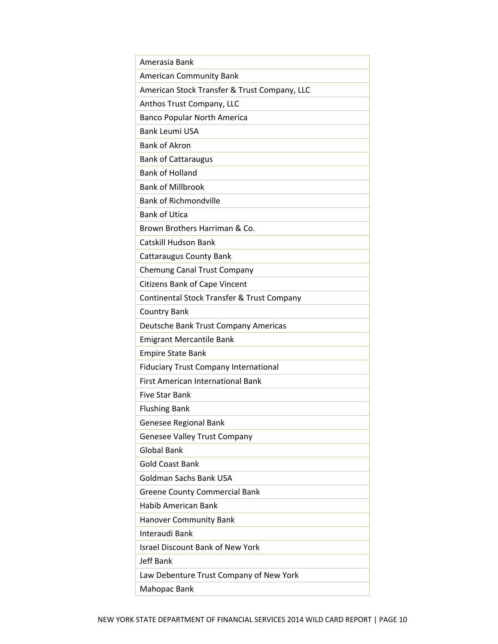| Amerasia Bank                                |
|----------------------------------------------|
| <b>American Community Bank</b>               |
| American Stock Transfer & Trust Company, LLC |
| Anthos Trust Company, LLC                    |
| <b>Banco Popular North America</b>           |
| <b>Bank Leumi USA</b>                        |
| <b>Bank of Akron</b>                         |
| <b>Bank of Cattaraugus</b>                   |
| <b>Bank of Holland</b>                       |
| <b>Bank of Millbrook</b>                     |
| <b>Bank of Richmondville</b>                 |
| <b>Bank of Utica</b>                         |
| Brown Brothers Harriman & Co.                |
| Catskill Hudson Bank                         |
| <b>Cattaraugus County Bank</b>               |
| <b>Chemung Canal Trust Company</b>           |
| <b>Citizens Bank of Cape Vincent</b>         |
| Continental Stock Transfer & Trust Company   |
| <b>Country Bank</b>                          |
| Deutsche Bank Trust Company Americas         |
| <b>Emigrant Mercantile Bank</b>              |
| <b>Empire State Bank</b>                     |
| <b>Fiduciary Trust Company International</b> |
| <b>First American International Bank</b>     |
| <b>Five Star Bank</b>                        |
| <b>Flushing Bank</b>                         |
| <b>Genesee Regional Bank</b>                 |
| <b>Genesee Valley Trust Company</b>          |
| <b>Global Bank</b>                           |
| <b>Gold Coast Bank</b>                       |
| <b>Goldman Sachs Bank USA</b>                |
| <b>Greene County Commercial Bank</b>         |
| Habib American Bank                          |
| <b>Hanover Community Bank</b>                |
| Interaudi Bank                               |
| <b>Israel Discount Bank of New York</b>      |
| <b>Jeff Bank</b>                             |
| Law Debenture Trust Company of New York      |
| Mahopac Bank                                 |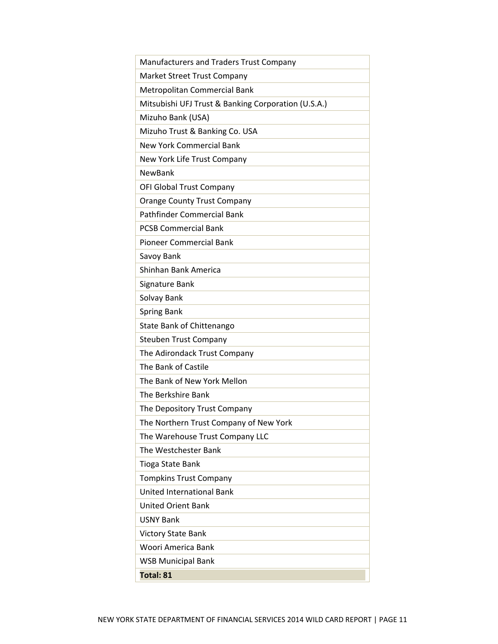| Manufacturers and Traders Trust Company             |
|-----------------------------------------------------|
| Market Street Trust Company                         |
| Metropolitan Commercial Bank                        |
| Mitsubishi UFJ Trust & Banking Corporation (U.S.A.) |
| Mizuho Bank (USA)                                   |
| Mizuho Trust & Banking Co. USA                      |
| <b>New York Commercial Bank</b>                     |
| New York Life Trust Company                         |
| <b>NewBank</b>                                      |
| OFI Global Trust Company                            |
| <b>Orange County Trust Company</b>                  |
| Pathfinder Commercial Bank                          |
| <b>PCSB Commercial Bank</b>                         |
| <b>Pioneer Commercial Bank</b>                      |
| Savoy Bank                                          |
| Shinhan Bank America                                |
| Signature Bank                                      |
| Solvay Bank                                         |
| <b>Spring Bank</b>                                  |
| State Bank of Chittenango                           |
| <b>Steuben Trust Company</b>                        |
| The Adirondack Trust Company                        |
| The Bank of Castile                                 |
| The Bank of New York Mellon                         |
| The Berkshire Bank                                  |
| The Depository Trust Company                        |
| The Northern Trust Company of New York              |
| The Warehouse Trust Company LLC                     |
| The Westchester Bank                                |
| Tioga State Bank                                    |
| <b>Tompkins Trust Company</b>                       |
| <b>United International Bank</b>                    |
| <b>United Orient Bank</b>                           |
| <b>USNY Bank</b>                                    |
| Victory State Bank                                  |
| Woori America Bank                                  |
| <b>WSB Municipal Bank</b>                           |
| Total: 81                                           |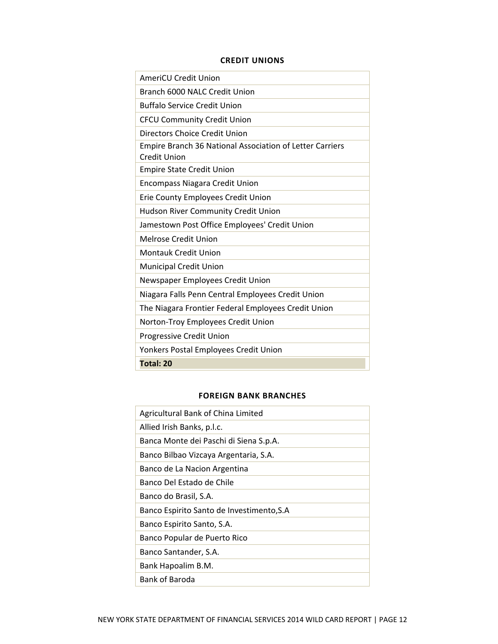### **CREDIT UNIONS**

| <b>AmeriCU Credit Union</b>                                                     |
|---------------------------------------------------------------------------------|
| Branch 6000 NALC Credit Union                                                   |
| <b>Buffalo Service Credit Union</b>                                             |
| <b>CFCU Community Credit Union</b>                                              |
| Directors Choice Credit Union                                                   |
| Empire Branch 36 National Association of Letter Carriers<br><b>Credit Union</b> |
| <b>Empire State Credit Union</b>                                                |
| <b>Encompass Niagara Credit Union</b>                                           |
| Erie County Employees Credit Union                                              |
| <b>Hudson River Community Credit Union</b>                                      |
| Jamestown Post Office Employees' Credit Union                                   |
| Melrose Credit Union                                                            |
| <b>Montauk Credit Union</b>                                                     |
| <b>Municipal Credit Union</b>                                                   |
| Newspaper Employees Credit Union                                                |
| Niagara Falls Penn Central Employees Credit Union                               |
| The Niagara Frontier Federal Employees Credit Union                             |
| Norton-Troy Employees Credit Union                                              |
| Progressive Credit Union                                                        |
| Yonkers Postal Employees Credit Union                                           |
| Total: 20                                                                       |

### **FOREIGN BANK BRANCHES**

| Agricultural Bank of China Limited        |
|-------------------------------------------|
| Allied Irish Banks, p.l.c.                |
| Banca Monte dei Paschi di Siena S.p.A.    |
| Banco Bilbao Vizcaya Argentaria, S.A.     |
| Banco de La Nacion Argentina              |
| Banco Del Estado de Chile                 |
| Banco do Brasil, S.A.                     |
| Banco Espirito Santo de Investimento, S.A |
| Banco Espirito Santo, S.A.                |
| Banco Popular de Puerto Rico              |
| Banco Santander, S.A.                     |
| Bank Hapoalim B.M.                        |
| Bank of Baroda                            |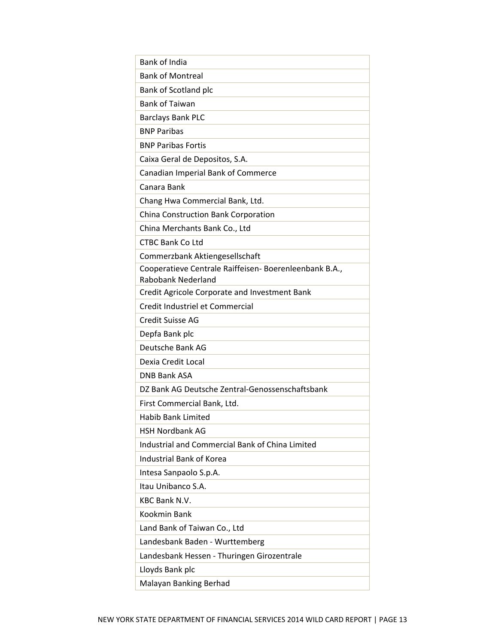| <b>Bank of India</b>                                                                |
|-------------------------------------------------------------------------------------|
| <b>Bank of Montreal</b>                                                             |
| Bank of Scotland plc                                                                |
| <b>Bank of Taiwan</b>                                                               |
| <b>Barclays Bank PLC</b>                                                            |
| <b>BNP Paribas</b>                                                                  |
| <b>BNP Paribas Fortis</b>                                                           |
| Caixa Geral de Depositos, S.A.                                                      |
| Canadian Imperial Bank of Commerce                                                  |
| Canara Bank                                                                         |
| Chang Hwa Commercial Bank, Ltd.                                                     |
| China Construction Bank Corporation                                                 |
| China Merchants Bank Co., Ltd                                                       |
| <b>CTBC Bank Co Ltd</b>                                                             |
| Commerzbank Aktiengesellschaft                                                      |
| Cooperatieve Centrale Raiffeisen- Boerenleenbank B.A.,<br><b>Rabobank Nederland</b> |
| Credit Agricole Corporate and Investment Bank                                       |
| Credit Industriel et Commercial                                                     |
| <b>Credit Suisse AG</b>                                                             |
| Depfa Bank plc                                                                      |
| Deutsche Bank AG                                                                    |
| Dexia Credit Local                                                                  |
| <b>DNB Bank ASA</b>                                                                 |
| DZ Bank AG Deutsche Zentral-Genossenschaftsbank                                     |
| First Commercial Bank, Ltd.                                                         |
| Habib Bank Limited                                                                  |
| <b>HSH Nordbank AG</b>                                                              |
| Industrial and Commercial Bank of China Limited                                     |
| <b>Industrial Bank of Korea</b>                                                     |
| Intesa Sanpaolo S.p.A.                                                              |
| Itau Unibanco S.A.                                                                  |
| <b>KBC Bank N.V.</b>                                                                |
| Kookmin Bank                                                                        |
| Land Bank of Taiwan Co., Ltd                                                        |
| Landesbank Baden - Wurttemberg                                                      |
| Landesbank Hessen - Thuringen Girozentrale                                          |
| Lloyds Bank plc                                                                     |
| Malayan Banking Berhad                                                              |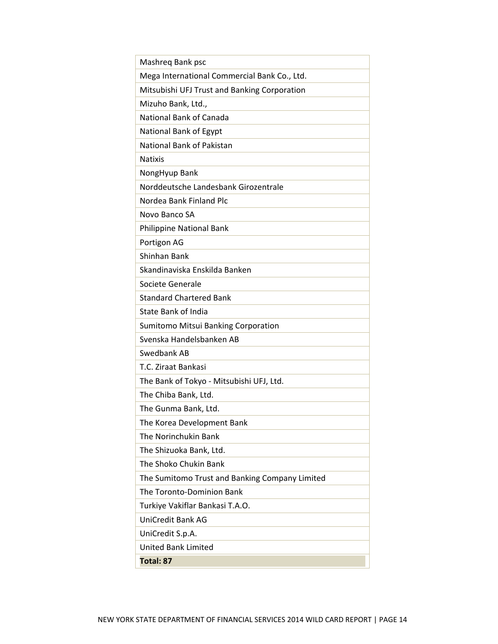| Mashreq Bank psc                               |
|------------------------------------------------|
| Mega International Commercial Bank Co., Ltd.   |
| Mitsubishi UFJ Trust and Banking Corporation   |
| Mizuho Bank, Ltd.,                             |
| National Bank of Canada                        |
| National Bank of Egypt                         |
| National Bank of Pakistan                      |
| <b>Natixis</b>                                 |
| NongHyup Bank                                  |
| Norddeutsche Landesbank Girozentrale           |
| Nordea Bank Finland Plc                        |
| Novo Banco SA                                  |
| Philippine National Bank                       |
| Portigon AG                                    |
| Shinhan Bank                                   |
| Skandinaviska Enskilda Banken                  |
| Societe Generale                               |
| <b>Standard Chartered Bank</b>                 |
| <b>State Bank of India</b>                     |
| Sumitomo Mitsui Banking Corporation            |
| Svenska Handelsbanken AB                       |
| Swedbank AB                                    |
| T.C. Ziraat Bankasi                            |
| The Bank of Tokyo - Mitsubishi UFJ, Ltd.       |
| The Chiba Bank, Ltd.                           |
| The Gunma Bank, Ltd.                           |
| The Korea Development Bank                     |
| The Norinchukin Bank                           |
| The Shizuoka Bank, Ltd.                        |
| The Shoko Chukin Bank                          |
| The Sumitomo Trust and Banking Company Limited |
| The Toronto-Dominion Bank                      |
| Turkiye Vakiflar Bankasi T.A.O.                |
| <b>UniCredit Bank AG</b>                       |
| UniCredit S.p.A.                               |
| <b>United Bank Limited</b>                     |
| Total: 87                                      |